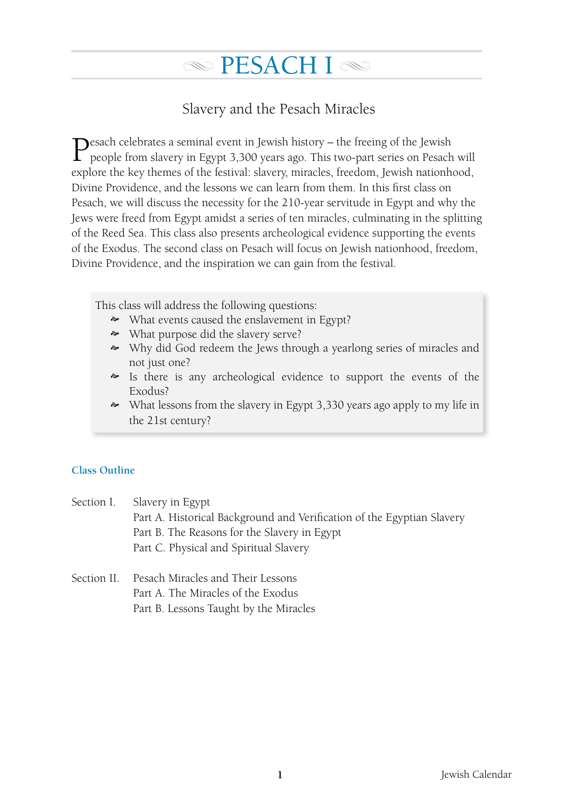# Slavery and the Pesach Miracles

Pesach celebrates a seminal event in Jewish history – the freeing of the Jewish people from slavery in Egypt 3,300 years ago. This two-part series on Pesach will explore the key themes of the festival: slavery, miracles, freedom, Jewish nationhood, Divine Providence, and the lessons we can learn from them. In this first class on Pesach, we will discuss the necessity for the 210-year servitude in Egypt and why the Jews were freed from Egypt amidst a series of ten miracles, culminating in the splitting of the Reed Sea. This class also presents archeological evidence supporting the events of the Exodus. The second class on Pesach will focus on Jewish nationhood, freedom, Divine Providence, and the inspiration we can gain from the festival.

This class will address the following questions:

- What events caused the enslavement in Egypt?
- What purpose did the slavery serve?
- Why did God redeem the Jews through a yearlong series of miracles and not just one?
- Is there is any archeological evidence to support the events of the Exodus?
- What lessons from the slavery in Egypt 3,330 years ago apply to my life in the 21st century?

# **Class Outline**

|             | Section I. Slavery in Egypt                                            |  |  |  |
|-------------|------------------------------------------------------------------------|--|--|--|
|             | Part A. Historical Background and Verification of the Egyptian Slavery |  |  |  |
|             | Part B. The Reasons for the Slavery in Egypt                           |  |  |  |
|             | Part C. Physical and Spiritual Slavery                                 |  |  |  |
|             |                                                                        |  |  |  |
| Section II. | Pesach Miracles and Their Lessons                                      |  |  |  |

- Part A. The Miracles of the Exodus
	- Part B. Lessons Taught by the Miracles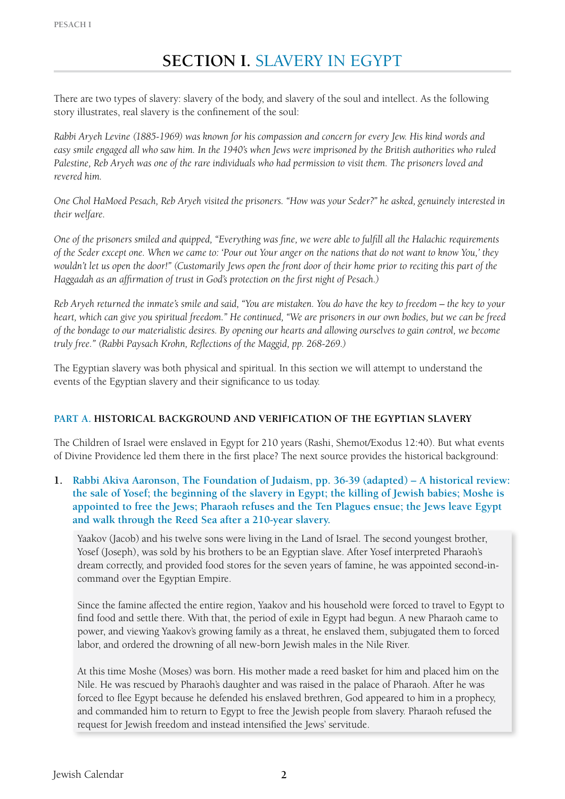There are two types of slavery: slavery of the body, and slavery of the soul and intellect. As the following story illustrates, real slavery is the confinement of the soul:

*Rabbi Aryeh Levine (1885-1969) was known for his compassion and concern for every Jew. His kind words and easy smile engaged all who saw him. In the 1940's when Jews were imprisoned by the British authorities who ruled Palestine, Reb Aryeh was one of the rare individuals who had permission to visit them. The prisoners loved and revered him.*

*One Chol HaMoed Pesach, Reb Aryeh visited the prisoners. "How was your Seder?" he asked, genuinely interested in their welfare.* 

*One of the prisoners smiled and quipped, "Everything was fine, we were able to fulfill all the Halachic requirements of the Seder except one. When we came to: 'Pour out Your anger on the nations that do not want to know You,' they wouldn't let us open the door!" (Customarily Jews open the front door of their home prior to reciting this part of the Haggadah as an affirmation of trust in God's protection on the first night of Pesach.)*

*Reb Aryeh returned the inmate's smile and said, "You are mistaken. You do have the key to freedom – the key to your heart, which can give you spiritual freedom." He continued, "We are prisoners in our own bodies, but we can be freed of the bondage to our materialistic desires. By opening our hearts and allowing ourselves to gain control, we become truly free." (Rabbi Paysach Krohn, Reflections of the Maggid, pp. 268-269.)*

The Egyptian slavery was both physical and spiritual. In this section we will attempt to understand the events of the Egyptian slavery and their significance to us today.

# **Part A. Historical Background and Verification of the Egyptian Slavery**

The Children of Israel were enslaved in Egypt for 210 years (Rashi, Shemot/Exodus 12:40). But what events of Divine Providence led them there in the first place? The next source provides the historical background:

**1. Rabbi Akiva Aaronson, The Foundation of Judaism, pp. 36-39 (adapted) – A historical review: the sale of Yosef; the beginning of the slavery in Egypt; the killing of Jewish babies; Moshe is appointed to free the Jews; Pharaoh refuses and the Ten Plagues ensue; the Jews leave Egypt and walk through the Reed Sea after a 210-year slavery.**

Yaakov (Jacob) and his twelve sons were living in the Land of Israel. The second youngest brother, Yosef (Joseph), was sold by his brothers to be an Egyptian slave. After Yosef interpreted Pharaoh's dream correctly, and provided food stores for the seven years of famine, he was appointed second-incommand over the Egyptian Empire.

Since the famine affected the entire region, Yaakov and his household were forced to travel to Egypt to find food and settle there. With that, the period of exile in Egypt had begun. A new Pharaoh came to power, and viewing Yaakov's growing family as a threat, he enslaved them, subjugated them to forced labor, and ordered the drowning of all new-born Jewish males in the Nile River.

At this time Moshe (Moses) was born. His mother made a reed basket for him and placed him on the Nile. He was rescued by Pharaoh's daughter and was raised in the palace of Pharaoh. After he was forced to flee Egypt because he defended his enslaved brethren, God appeared to him in a prophecy, and commanded him to return to Egypt to free the Jewish people from slavery. Pharaoh refused the request for Jewish freedom and instead intensified the Jews' servitude.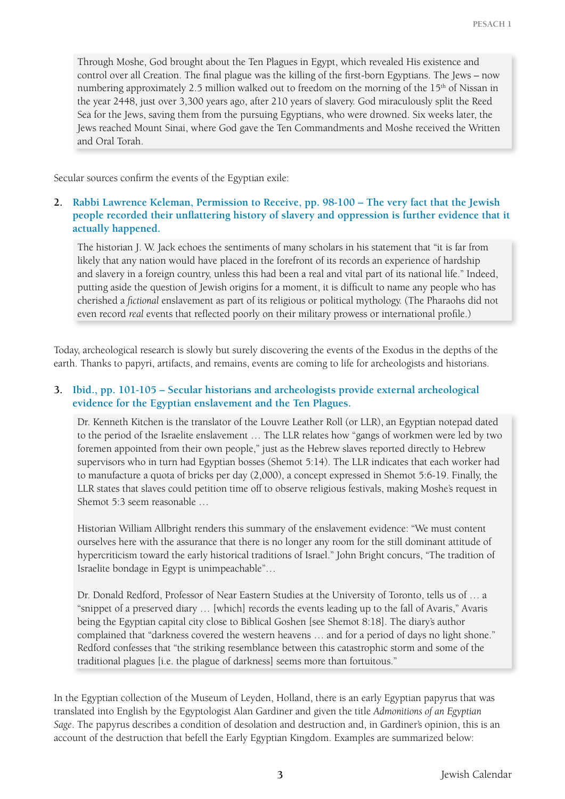Through Moshe, God brought about the Ten Plagues in Egypt, which revealed His existence and control over all Creation. The final plague was the killing of the first-born Egyptians. The Jews – now numbering approximately 2.5 million walked out to freedom on the morning of the 15<sup>th</sup> of Nissan in the year 2448, just over 3,300 years ago, after 210 years of slavery. God miraculously split the Reed Sea for the Jews, saving them from the pursuing Egyptians, who were drowned. Six weeks later, the Jews reached Mount Sinai, where God gave the Ten Commandments and Moshe received the Written and Oral Torah.

Secular sources confirm the events of the Egyptian exile:

## **2. Rabbi Lawrence Keleman, Permission to Receive, pp. 98-100 – The very fact that the Jewish people recorded their unflattering history of slavery and oppression is further evidence that it actually happened.**

The historian J. W. Jack echoes the sentiments of many scholars in his statement that "it is far from likely that any nation would have placed in the forefront of its records an experience of hardship and slavery in a foreign country, unless this had been a real and vital part of its national life." Indeed, putting aside the question of Jewish origins for a moment, it is difficult to name any people who has cherished a *fictional* enslavement as part of its religious or political mythology. (The Pharaohs did not even record *real* events that reflected poorly on their military prowess or international profile.)

Today, archeological research is slowly but surely discovering the events of the Exodus in the depths of the earth. Thanks to papyri, artifacts, and remains, events are coming to life for archeologists and historians.

## **3. Ibid., pp. 101-105 – Secular historians and archeologists provide external archeological evidence for the Egyptian enslavement and the Ten Plagues.**

Dr. Kenneth Kitchen is the translator of the Louvre Leather Roll (or LLR), an Egyptian notepad dated to the period of the Israelite enslavement … The LLR relates how "gangs of workmen were led by two foremen appointed from their own people," just as the Hebrew slaves reported directly to Hebrew supervisors who in turn had Egyptian bosses (Shemot 5:14). The LLR indicates that each worker had to manufacture a quota of bricks per day (2,000), a concept expressed in Shemot 5:6-19. Finally, the LLR states that slaves could petition time off to observe religious festivals, making Moshe's request in Shemot 5:3 seem reasonable …

Historian William Allbright renders this summary of the enslavement evidence: "We must content ourselves here with the assurance that there is no longer any room for the still dominant attitude of hypercriticism toward the early historical traditions of Israel." John Bright concurs, "The tradition of Israelite bondage in Egypt is unimpeachable"…

Dr. Donald Redford, Professor of Near Eastern Studies at the University of Toronto, tells us of … a "snippet of a preserved diary … [which] records the events leading up to the fall of Avaris," Avaris being the Egyptian capital city close to Biblical Goshen [see Shemot 8:18]. The diary's author complained that "darkness covered the western heavens … and for a period of days no light shone." Redford confesses that "the striking resemblance between this catastrophic storm and some of the traditional plagues [i.e. the plague of darkness] seems more than fortuitous."

In the Egyptian collection of the Museum of Leyden, Holland, there is an early Egyptian papyrus that was translated into English by the Egyptologist Alan Gardiner and given the title *Admonitions of an Egyptian Sage*. The papyrus describes a condition of desolation and destruction and, in Gardiner's opinion, this is an account of the destruction that befell the Early Egyptian Kingdom. Examples are summarized below: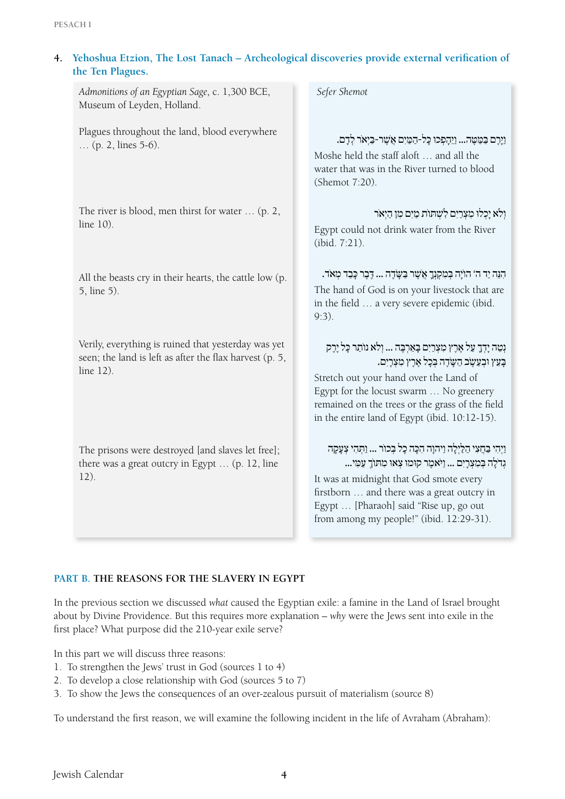| 4. | Yehoshua Etzion, The Lost Tanach - Archeological discoveries provide external verification of<br>the Ten Plagues.           |  |                                                                                                                                                                                                                                                                                                                           |  |  |  |
|----|-----------------------------------------------------------------------------------------------------------------------------|--|---------------------------------------------------------------------------------------------------------------------------------------------------------------------------------------------------------------------------------------------------------------------------------------------------------------------------|--|--|--|
|    | Admonitions of an Egyptian Sage, c. 1,300 BCE,<br>Museum of Leyden, Holland.                                                |  | Sefer Shemot                                                                                                                                                                                                                                                                                                              |  |  |  |
|    | Plagues throughout the land, blood everywhere<br>(p. 2, lines 5-6).                                                         |  | וַיָרֶם בַּמַטֶּה וַיֵּהָפְכוּ כָּל-הַמַיִם אֲשֶׁר-בַּיִאֹר לְדָם.<br>Moshe held the staff aloft  and all the<br>water that was in the River turned to blood<br>(Shemot 7:20).                                                                                                                                            |  |  |  |
|    | The river is blood, men thirst for water $\dots$ (p. 2,<br>line 10).                                                        |  | ולא יַכְלוּ מְצְרַיִם לְשִׁתּוֹת מַיִם מִן הַיִאר<br>Egypt could not drink water from the River<br>(ibid. 7:21).                                                                                                                                                                                                          |  |  |  |
|    | All the beasts cry in their hearts, the cattle low (p.<br>5, line 5).                                                       |  | הִנֵּה יַד ה' הוֹיָה בְּמִקְנְךָ אֲשֶׁר בַּשֶּׂדֶה  דֶבֶר כָּבֵד מְאֹד.<br>The hand of God is on your livestock that are<br>in the field  a very severe epidemic (ibid.<br>$9:3$ ).                                                                                                                                       |  |  |  |
|    | Verily, everything is ruined that yesterday was yet<br>seen; the land is left as after the flax harvest (p. 5,<br>line 12). |  | נְטֶה יַדְךָ עַל אֱרֶץ מְצְרַיִם בַּאַרְבֵּה  וְלֹא נוֹתַר כַּל יֵרֵק<br>בְּעֵץ וּבְעֵשֶׂב הַשָּׂדֶה בִּכָל אֶרֶץ מִצְרָיִם.<br>Stretch out your hand over the Land of<br>Egypt for the locust swarm  No greenery<br>remained on the trees or the grass of the field<br>in the entire land of Egypt (ibid. 10:12-15).     |  |  |  |
|    | The prisons were destroyed [and slaves let free];<br>there was a great outcry in Egypt  (p. 12, line<br>12).                |  | וַיִּהִי בַּחֲצִי הַלַּיְלָה וַיִּהוָה הִכָּה כָל בְּכוֹר  וַתְּהִי צָעָקָה<br>גִדֹלַה בִּמְצְרָיִם  וַיֹּאמֶר קוּמוּ צְאוּ מִתּוֹךְ עַמְי<br>It was at midnight that God smote every<br>firstborn  and there was a great outcry in<br>Egypt  [Pharaoh] said "Rise up, go out<br>from among my people!" (ibid. 12:29-31). |  |  |  |

#### **Part B. The Reasons for the Slavery in Egypt**

In the previous section we discussed *what* caused the Egyptian exile: a famine in the Land of Israel brought about by Divine Providence. But this requires more explanation – *why* were the Jews sent into exile in the first place? What purpose did the 210-year exile serve?

In this part we will discuss three reasons:

- 1. To strengthen the Jews' trust in God (sources 1 to 4)
- 2. To develop a close relationship with God (sources 5 to 7)
- 3. To show the Jews the consequences of an over-zealous pursuit of materialism (source 8)

To understand the first reason, we will examine the following incident in the life of Avraham (Abraham):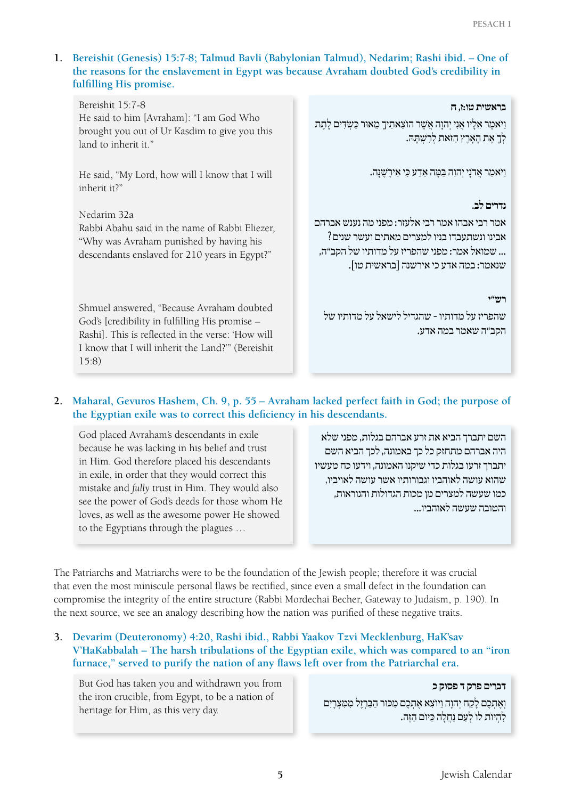## **1. Bereishit (Genesis) 15:7-8; Talmud Bavli (Babylonian Talmud), Nedarim; Rashi ibid. – One of the reasons for the enslavement in Egypt was because Avraham doubted God's credibility in fulfilling His promise.**

Bereishit 15:7-8 He said to him [Avraham]: "I am God Who brought you out of Ur Kasdim to give you this land to inherit it."

He said, "My Lord, how will I know that I will inherit it?"

Nedarim 32a Rabbi Abahu said in the name of Rabbi Eliezer, "Why was Avraham punished by having his descendants enslaved for 210 years in Egypt?"

Shmuel answered, "Because Avraham doubted God's [credibility in fulfilling His promise – Rashi]. This is reflected in the verse: 'How will I know that I will inherit the Land?'" (Bereishit 15:8)

#### **בראשית טו:ז, ח**

וַ יִאמֶר אֶלֵיו אֵנִי יִהוַה אֵשֶׁר הוֹצֵאתִיךָ מֵאוּר כַּשְׂדִּים לַתֵּת לְךָ אֶת הָאָרֶץ הַזֹּאת לְרָשָׁתַּהּ.

וַ יּ ֹאמַ ר אֲ דֹנָ י יְ הוִ ה בַּ מָּ ה אֵ דַ ע כִּ י אִ ירָ שׁ ֶ נָּ ה.

#### **נדרים לב.**

אמר רבי אבהו אמר רבי אלעזר: מפני מה נענש אברהם אבינו ונשתעבדו בניו למצרים מאתים ועשר שנים? ... שמואל אמר: מפני שהפריז על מדותיו של הקב"ה, שנאמר: במה אדע כי אירשנה ]בראשית טו[.

**רש"י** 

שהפריז על מדותיו - שהגדיל לישאל על מדותיו של הקב"ה שאמר במה אדע.

# **2. Maharal, Gevuros Hashem, Ch. 9, p. 55 – Avraham lacked perfect faith in God; the purpose of the Egyptian exile was to correct this deficiency in his descendants.**

God placed Avraham's descendants in exile because he was lacking in his belief and trust in Him. God therefore placed his descendants in exile, in order that they would correct this mistake and *fully* trust in Him. They would also see the power of God's deeds for those whom He loves, as well as the awesome power He showed to the Egyptians through the plagues …

השם יתברך הביא את זרע אברהם בגלות, מפני שלא היה אברהם מתחזק כל כך באמונה, לכך הביא השם יתברך זרעו בגלות כדי שיקנו האמונה, וידעו כח מעשיו שהוא עושה לאוהביו וגבורותיו אשר עושה לאויביו, כמו שעשה למצרים מן מכות הגדולות והנוראות, והטובה שעשה לאוהביו...

The Patriarchs and Matriarchs were to be the foundation of the Jewish people; therefore it was crucial that even the most miniscule personal flaws be rectified, since even a small defect in the foundation can compromise the integrity of the entire structure (Rabbi Mordechai Becher, Gateway to Judaism, p. 190). In the next source, we see an analogy describing how the nation was purified of these negative traits.

**3. Devarim (Deuteronomy) 4:20, Rashi ibid., Rabbi Yaakov Tzvi Mecklenburg, HaK'sav V'HaKabbalah – The harsh tribulations of the Egyptian exile, which was compared to an "iron furnace," served to purify the nation of any flaws left over from the Patriarchal era.**

But God has taken you and withdrawn you from the iron crucible, from Egypt, to be a nation of heritage for Him, as this very day.

**דברים פרק ד פסוק כ**  וְ וְאֶתְכֶם לַקַח יְהוַה וַיוֹצָא אֶתְכֶם מִכּוּר הַבַּרְזֶל מִמְצְרָיִם לְהִיוֹת לוֹ לְעֵם נַחֲלָה כֵּיוֹם הַזֶּה.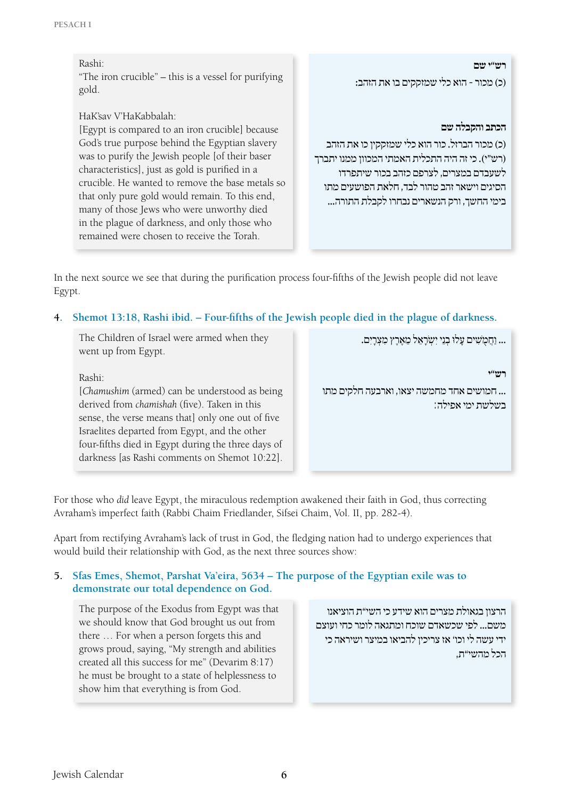#### Rashi: "The iron crucible" – this is a vessel for purifying gold.

# HaK'sav V'HaKabbalah:

[Egypt is compared to an iron crucible] because God's true purpose behind the Egyptian slavery was to purify the Jewish people [of their baser characteristics], just as gold is purified in a crucible. He wanted to remove the base metals so that only pure gold would remain. To this end, many of those Jews who were unworthy died in the plague of darkness, and only those who remained were chosen to receive the Torah.

**ריפלי פיטרו** 

)כ( מכור - הוא כלי שמזקקים בו את הזהב:

#### **הכתב והקבלה שם**

)כ( מכור הברזל. כור הוא כלי שמזקקין כו את הזהב )רש״י(. כי זה היה התכלית האמתי המכוון ממנו יתברך לשעבדם במצרים, לצרפם כזהב בכור שיתפרדו הסיגים וישאר זהב טהור לבד, חלאת הפושעים מתו בימי החשך, ורק הנשארים נבחרו לקבלת התורה...

In the next source we see that during the purification process four-fifths of the Jewish people did not leave Egypt.

## **4. Shemot 13:18, Rashi ibid. – Four-fifths of the Jewish people died in the plague of darkness.**

The Children of Israel were armed when they went up from Egypt.

Rashi:

[*Chamushim* (armed) can be understood as being derived from *chamishah* (five). Taken in this sense, the verse means that] only one out of five Israelites departed from Egypt, and the other four-fifths died in Egypt during the three days of darkness [as Rashi comments on Shemot 10:22].

... וחמשים עלוּ בִנִי יִשְׂרֹאל מֵארץ מִצְרִים.

**רעי״** 

... חמושים אחד מחמשה יצאו, וארבעה חלקים מתו בשלשת ימי אפילה:

For those who *did* leave Egypt, the miraculous redemption awakened their faith in God, thus correcting Avraham's imperfect faith (Rabbi Chaim Friedlander, Sifsei Chaim, Vol. II, pp. 282-4).

Apart from rectifying Avraham's lack of trust in God, the fledging nation had to undergo experiences that would build their relationship with God, as the next three sources show:

## **5. Sfas Emes, Shemot, Parshat Va'eira, 5634 – The purpose of the Egyptian exile was to demonstrate our total dependence on God.**

The purpose of the Exodus from Egypt was that we should know that God brought us out from there … For when a person forgets this and grows proud, saying, "My strength and abilities created all this success for me" (Devarim 8:17) he must be brought to a state of helplessness to show him that everything is from God.

הרצון בגאולת מצרים הוא שידע כי השי"ת הוציאנו משם... לפי שכשאדם שוכח ומתגאה לומר כחי ועוצם ידי עשה לי וכו' אז צריכין להביאו במיצר ושיראה כי הכל מהשי"ת,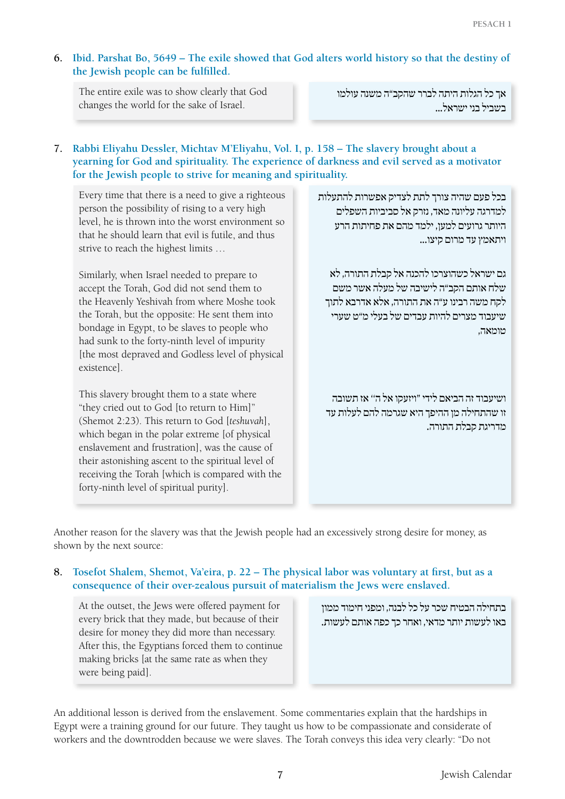# **6. Ibid. Parshat Bo, 5649 – The exile showed that God alters world history so that the destiny of the Jewish people can be fulfilled.**

The entire exile was to show clearly that God changes the world for the sake of Israel.

אך כל הגלות היתה לברר שהקב"ה משנה עולמו בשביל בני ישראל...

# **7. Rabbi Eliyahu Dessler, Michtav M'Eliyahu, Vol. I, p. 158 – The slavery brought about a yearning for God and spirituality. The experience of darkness and evil served as a motivator for the Jewish people to strive for meaning and spirituality.**

Every time that there is a need to give a righteous person the possibility of rising to a very high level, he is thrown into the worst environment so that he should learn that evil is futile, and thus strive to reach the highest limits …

Similarly, when Israel needed to prepare to accept the Torah, God did not send them to the Heavenly Yeshivah from where Moshe took the Torah, but the opposite: He sent them into bondage in Egypt, to be slaves to people who had sunk to the forty-ninth level of impurity [the most depraved and Godless level of physical existence].

This slavery brought them to a state where "they cried out to God [to return to Him]" (Shemot 2:23). This return to God [*teshuvah*], which began in the polar extreme [of physical enslavement and frustration], was the cause of their astonishing ascent to the spiritual level of receiving the Torah [which is compared with the forty-ninth level of spiritual purity].

בכל פעם שהיה צורך לתת לצדיק אפשרות להתעלות למדרגה עליונה מאד, נזרק אל סביביות השפלים היותר גרועים למען, ילמד מהם את פחיתות הרע ויתאמץ עד מרום קיצו...

גם ישראל כשהוצרכו להכנה אל קבלת התורה, לא שלח אותם הקב"ה לישיבה של מעלה אשר משם לקח משה רבינו ע"ה את התורה, אלא אדרבא לתוך שיעבוד מצרים להיות עבדים של בעלי מ"ט שערי טומאה,

ושיעבוד זה הביאם לידי "ויזעקו אל ה'' אז תשובה זו שהתחילה מן ההיפך היא שגרמה להם לעלות עד מדריגת קבלת התורה.

Another reason for the slavery was that the Jewish people had an excessively strong desire for money, as shown by the next source:

# **8. Tosefot Shalem, Shemot, Va'eira, p. 22 – The physical labor was voluntary at first, but as a consequence of their over-zealous pursuit of materialism the Jews were enslaved.**

At the outset, the Jews were offered payment for every brick that they made, but because of their desire for money they did more than necessary. After this, the Egyptians forced them to continue making bricks [at the same rate as when they were being paid].

בתחילה הבטיח שכר על כל לבנה, ומפני חימוד ממון באו לעשות יותר מדאי, ואחר כך כפה אותם לעשות.

An additional lesson is derived from the enslavement. Some commentaries explain that the hardships in Egypt were a training ground for our future. They taught us how to be compassionate and considerate of workers and the downtrodden because we were slaves. The Torah conveys this idea very clearly: "Do not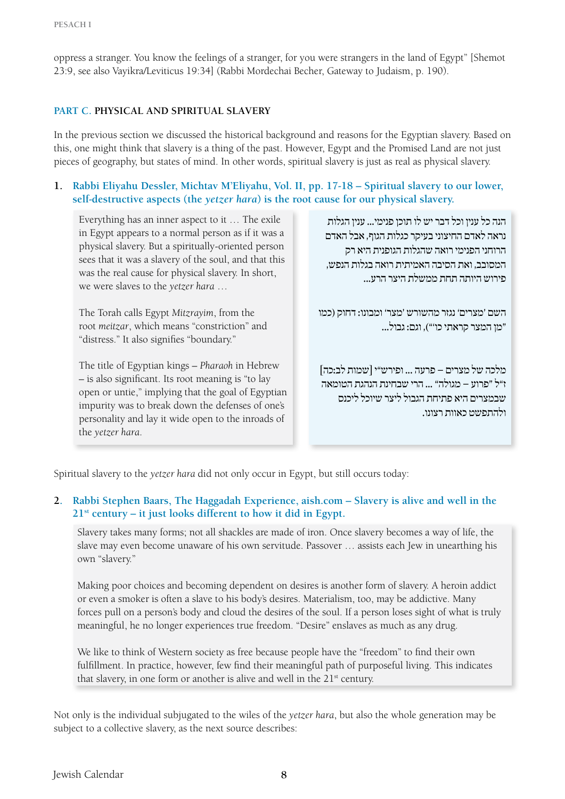oppress a stranger. You know the feelings of a stranger, for you were strangers in the land of Egypt" [Shemot 23:9, see also Vayikra/Leviticus 19:34] (Rabbi Mordechai Becher, Gateway to Judaism, p. 190).

#### **Part C. Physical and Spiritual Slavery**

In the previous section we discussed the historical background and reasons for the Egyptian slavery. Based on this, one might think that slavery is a thing of the past. However, Egypt and the Promised Land are not just pieces of geography, but states of mind. In other words, spiritual slavery is just as real as physical slavery.

## **1. Rabbi Eliyahu Dessler, Michtav M'Eliyahu, Vol. II, pp. 17-18 – Spiritual slavery to our lower, self-destructive aspects (the** *yetzer hara***) is the root cause for our physical slavery.**

Everything has an inner aspect to it … The exile in Egypt appears to a normal person as if it was a physical slavery. But a spiritually-oriented person sees that it was a slavery of the soul, and that this was the real cause for physical slavery. In short, we were slaves to the *yetzer hara* …

The Torah calls Egypt *Mitzrayim*, from the root *meitzar*, which means "constriction" and "distress." It also signifies "boundary."

The title of Egyptian kings – *Pharaoh* in Hebrew – is also significant. Its root meaning is "to lay open or untie," implying that the goal of Egyptian impurity was to break down the defenses of one's personality and lay it wide open to the inroads of the *yetzer hara*.

הנה כל ענין וכל דבר יש לו תוכן פנימי... ענין הגלות נראה לאדם החיצוני בעיקר כגלות הגוף, אבל האדם הרוחני הפנימי רואה שהגלות הגופנית היא רק המסובב, ואת הסיבה האמיתית רואה בגלות הנפש, פירוש היותה תחת ממשלת היצר הרע...

השם 'מצרים' נגזר מהשורש 'מצר' ומבונו: דחוק )כמו "מן המצר קראתי כו'"(, וגם: גבול...

מלכה של מצרים – פרעה ... ופירש"י ]שמות לב:כה[ ז"ל "פרוע – מגולה" ... הרי שבחינת הנהגת הטומאה שבמצרים היא פתיחת הגבול ליצר שיוכל ליכנס ולהתפשט כאוות רצונו.

Spiritual slavery to the *yetzer hara* did not only occur in Egypt, but still occurs today:

## **2. Rabbi Stephen Baars, The Haggadah Experience, aish.com – Slavery is alive and well in the 21st century – it just looks different to how it did in Egypt.**

Slavery takes many forms; not all shackles are made of iron. Once slavery becomes a way of life, the slave may even become unaware of his own servitude. Passover … assists each Jew in unearthing his own "slavery."

Making poor choices and becoming dependent on desires is another form of slavery. A heroin addict or even a smoker is often a slave to his body's desires. Materialism, too, may be addictive. Many forces pull on a person's body and cloud the desires of the soul. If a person loses sight of what is truly meaningful, he no longer experiences true freedom. "Desire" enslaves as much as any drug.

We like to think of Western society as free because people have the "freedom" to find their own fulfillment. In practice, however, few find their meaningful path of purposeful living. This indicates that slavery, in one form or another is alive and well in the  $21<sup>st</sup>$  century.

Not only is the individual subjugated to the wiles of the *yetzer hara*, but also the whole generation may be subject to a collective slavery, as the next source describes: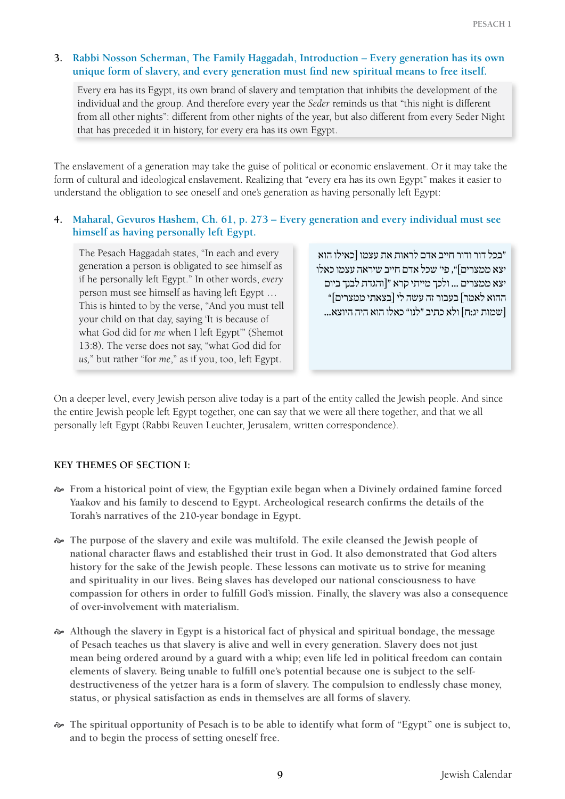## **3. Rabbi Nosson Scherman, The Family Haggadah, Introduction – Every generation has its own unique form of slavery, and every generation must find new spiritual means to free itself.**

Every era has its Egypt, its own brand of slavery and temptation that inhibits the development of the individual and the group. And therefore every year the *Seder* reminds us that "this night is different from all other nights": different from other nights of the year, but also different from every Seder Night that has preceded it in history, for every era has its own Egypt.

The enslavement of a generation may take the guise of political or economic enslavement. Or it may take the form of cultural and ideological enslavement. Realizing that "every era has its own Egypt" makes it easier to understand the obligation to see oneself and one's generation as having personally left Egypt:

# **4. Maharal, Gevuros Hashem, Ch. 61, p. 273 – Every generation and every individual must see himself as having personally left Egypt.**

The Pesach Haggadah states, "In each and every generation a person is obligated to see himself as if he personally left Egypt." In other words, *every*  person must see himself as having left Egypt … This is hinted to by the verse, "And you must tell your child on that day, saying 'It is because of what God did for *me* when I left Egypt'" (Shemot 13:8). The verse does not say, "what God did for *us,*" but rather "for *me*," as if you, too, left Egypt.

"בכל דור ודור חייב אדם לראות את עצמו ]כאילו הוא יצא ממצרים[", פי' שכל אדם חייב שיראה עצמו כאלו יצא ממצרים ... ולכך מייתי קרא "]והגדת לבנך ביום ההוא לאמר[ בעבור זה עשה לי ]בצאתי ממצרים[" ]שמות יג:ח[ ולא כתיב "לנו" כאלו הוא היה היוצא...

On a deeper level, every Jewish person alive today is a part of the entity called the Jewish people. And since the entire Jewish people left Egypt together, one can say that we were all there together, and that we all personally left Egypt (Rabbi Reuven Leuchter, Jerusalem, written correspondence).

# **Key Themes of Section I:**

- [ **From a historical point of view, the Egyptian exile began when a Divinely ordained famine forced Yaakov and his family to descend to Egypt. Archeological research confirms the details of the Torah's narratives of the 210-year bondage in Egypt.**
- $\sim$  The purpose of the slavery and exile was multifold. The exile cleansed the Jewish people of **national character flaws and established their trust in God. It also demonstrated that God alters history for the sake of the Jewish people. These lessons can motivate us to strive for meaning and spirituality in our lives. Being slaves has developed our national consciousness to have compassion for others in order to fulfill God's mission. Finally, the slavery was also a consequence of over-involvement with materialism.**
- [ **Although the slavery in Egypt is a historical fact of physical and spiritual bondage, the message of Pesach teaches us that slavery is alive and well in every generation. Slavery does not just mean being ordered around by a guard with a whip; even life led in political freedom can contain elements of slavery. Being unable to fulfill one's potential because one is subject to the selfdestructiveness of the yetzer hara is a form of slavery. The compulsion to endlessly chase money, status, or physical satisfaction as ends in themselves are all forms of slavery.**
- [ **The spiritual opportunity of Pesach is to be able to identify what form of "Egypt" one is subject to, and to begin the process of setting oneself free.**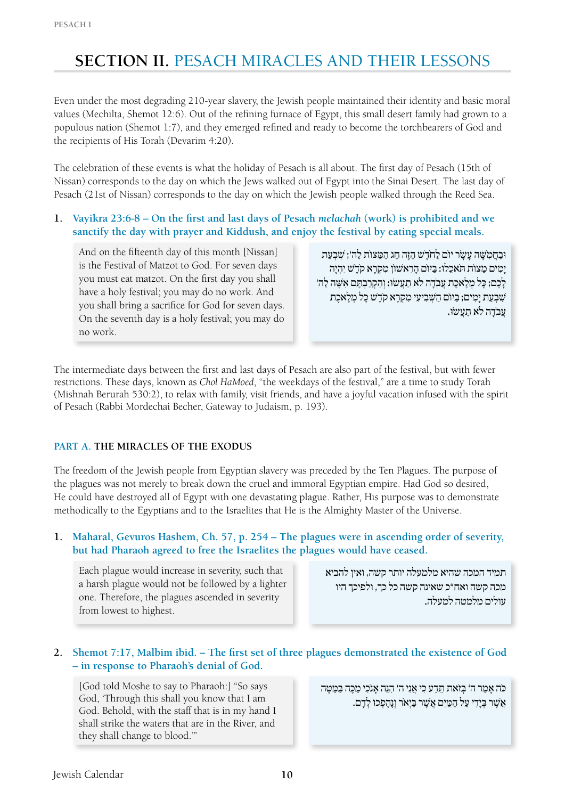# **SECTION II. PESACH MIRACLES AND THEIR LESSONS**

Even under the most degrading 210-year slavery, the Jewish people maintained their identity and basic moral values (Mechilta, Shemot 12:6). Out of the refining furnace of Egypt, this small desert family had grown to a populous nation (Shemot 1:7), and they emerged refined and ready to become the torchbearers of God and the recipients of His Torah (Devarim 4:20).

The celebration of these events is what the holiday of Pesach is all about. The first day of Pesach (15th of Nissan) corresponds to the day on which the Jews walked out of Egypt into the Sinai Desert. The last day of Pesach (21st of Nissan) corresponds to the day on which the Jewish people walked through the Reed Sea.

**1. Vayikra 23:6-8 – On the first and last days of Pesach** *melachah* **(work) is prohibited and we sanctify the day with prayer and Kiddush, and enjoy the festival by eating special meals.**

And on the fifteenth day of this month [Nissan] is the Festival of Matzot to God. For seven days you must eat matzot. On the first day you shall have a holy festival; you may do no work. And you shall bring a sacrifice for God for seven days. On the seventh day is a holy festival; you may do no work.

וּ בַחֲמִשָּׁה עַשָׂר יוֹם לִחֹדֶשׁ הַזֶּה חַג הַמַּצּוֹת לְה'; שַׁבְעַת ימִים מַצּוֹת תִּאכִלוּ: בִּיוֹם הִרְאְשׁוֹן מִקְרֹא קֹדֶשׁ יְהִיה לְכֶם; כִּל מֵלָאכֶת עַבֹדָה לֹא תִעְשׂוּ: וְהִקְרִבְתֶּם אִשֶּׁה לֹהִ' שִׁבְעַת יַמְים; בַּיּוֹם הַשָּׁבְיעִי מִקְרַא קֹדֶשׁ כָּל מְלֵאכֶת עֲבֹדָה לֹא תַעֲשׂוּ.

The intermediate days between the first and last days of Pesach are also part of the festival, but with fewer restrictions. These days, known as *Chol HaMoed*, "the weekdays of the festival," are a time to study Torah (Mishnah Berurah 530:2), to relax with family, visit friends, and have a joyful vacation infused with the spirit of Pesach (Rabbi Mordechai Becher, Gateway to Judaism, p. 193).

# **Part A. The Miracles of the Exodus**

The freedom of the Jewish people from Egyptian slavery was preceded by the Ten Plagues. The purpose of the plagues was not merely to break down the cruel and immoral Egyptian empire. Had God so desired, He could have destroyed all of Egypt with one devastating plague. Rather, His purpose was to demonstrate methodically to the Egyptians and to the Israelites that He is the Almighty Master of the Universe.

## **1. Maharal, Gevuros Hashem, Ch. 57, p. 254 – The plagues were in ascending order of severity, but had Pharaoh agreed to free the Israelites the plagues would have ceased.**

Each plague would increase in severity, such that a harsh plague would not be followed by a lighter one. Therefore, the plagues ascended in severity from lowest to highest.

תמיד המכה שהיא מלמעלה יותר קשה, ואין להביא מכה קשה ואח"כ שאינה קשה כל כך, ולפיכך היו עולים מלמטה למעלה.

# **2. Shemot 7:17, Malbim ibid. – The first set of three plagues demonstrated the existence of God – in response to Pharaoh's denial of God.**

[God told Moshe to say to Pharaoh:] "So says God, 'Through this shall you know that I am God. Behold, with the staff that is in my hand I shall strike the waters that are in the River, and they shall change to blood.'"

כּה אַמַר ה' בְּזֹאת תֵּדַע כִּי אֲנִי ה' הִנֵּה אַנֹכִי מַכֵּה בַּמַּטֵּה אֲ שׁ ֶ ר בְּ יָ דִ י עַ ל הַ מַּ יִ ם אֲ שׁ ֶ ר בַּ יְ אֹר וְ נֶ הֶ פְ כוּ לְ דָ ם.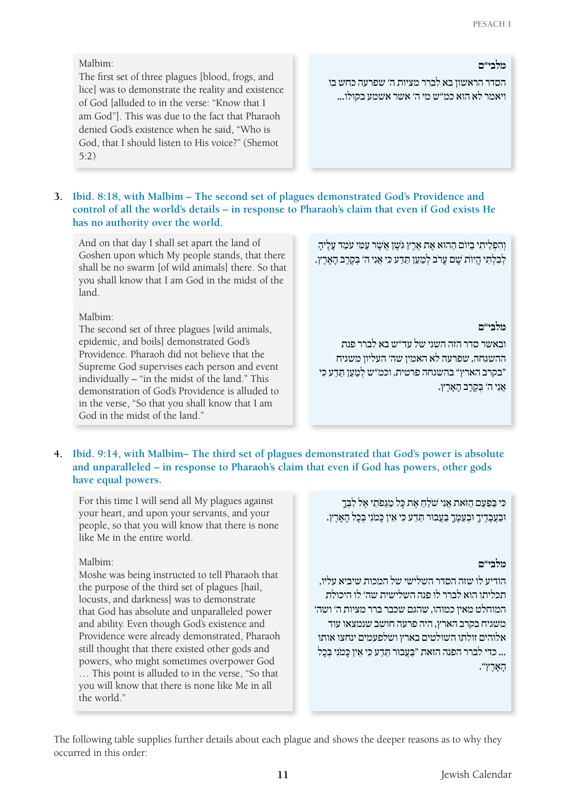#### Malbim:

The first set of three plagues [blood, frogs, and lice] was to demonstrate the reality and existence of God [alluded to in the verse: "Know that I am God"]. This was due to the fact that Pharaoh denied God's existence when he said, "Who is God, that I should listen to His voice?" (Shemot 5:2)

**מלבי"ם**

הסדר הראשון בא לברר מציות ה' שפרעה כחש בו ויאמר לא הוא כמ"ש מי ה' אשר אשמע בקולו...

# **3. Ibid. 8:18, with Malbim – The second set of plagues demonstrated God's Providence and control of all the world's details – in response to Pharaoh's claim that even if God exists He has no authority over the world.**

And on that day I shall set apart the land of Goshen upon which My people stands, that there shall be no swarm [of wild animals] there. So that you shall know that I am God in the midst of the land.

Malbim:

The second set of three plagues [wild animals, epidemic, and boils] demonstrated God's Providence. Pharaoh did not believe that the Supreme God supervises each person and event individually – "in the midst of the land." This demonstration of God's Providence is alluded to in the verse, "So that you shall know that I am God in the midst of the land."

וְהִפְלֵיתִי בַיוֹם הַהוּא אֵת אֱרֵץ גֹשֵׁן אֲשֶׁר עַמְי עֹמֶד עַלֶיהָ לְבְלָתִּי הֵיוֹת שֵׁם עַרֹב לְמַעַן תֵּדַע כְּי אֲנִי ה' בְּקֵרֶב הַאֲרֶץ.

#### **מלבי"ם**

ובאשר סדר הזה השני של עד"ש בא לברר פנת ההשגחה, שפרעה לא האמין שה' העליון משגיח "בקרב הארץ" בהשגחה פרטית, וכמ"ש לְמַעַן תֲדַע כְּי אֲ נִ י ה' בְּ קֶ רֶ ב הָ אָ רֶ ץ.

# **4. Ibid. 9:14, with Malbim– The third set of plagues demonstrated that God's power is absolute and unparalleled – in response to Pharaoh's claim that even if God has powers, other gods have equal powers.**

For this time I will send all My plagues against your heart, and upon your servants, and your people, so that you will know that there is none like Me in the entire world.

#### Malbim:

Moshe was being instructed to tell Pharaoh that the purpose of the third set of plagues [hail, locusts, and darkness] was to demonstrate that God has absolute and unparalleled power and ability. Even though God's existence and Providence were already demonstrated, Pharaoh still thought that there existed other gods and powers, who might sometimes overpower God … This point is alluded to in the verse, "So that you will know that there is none like Me in all the world."

כִּי בַּפַּעַם הַזֹּאת אֲנִי שֹׁלֵחַ אֶת כָּל מַגְּפֹתֵי אֵל לִבְּךָ וּ בַעֲבָדֶ יִךְ נִבְעֲמֶךָ בַעֲבוּר תֵּדַע כִּי אֵין כָּמֹנִי בִּכָל הָאָרֶץ.

#### **מלבי"ם**

הודיע לו שזה הסדר השלישי של המכות שיביא עליו, תכליתו הוא לברר לו פנה השלישית שה' לו היכולת המוחלט מאין כמוהו, שהגם שכבר ברר מציות ה' ושה' משגיח בקרב הארץ, היה פרעה חושב שנמצאו עוד אלוהים זולתו השולטים בארץ ושלפעמים ינחצו אותו ... כדי לברר הפנה הזאת "בַּעַבוּר תִּדַע כֵּי אִין כִּמְנֵי בַּכְל הָ $X \cap Y$ ".

The following table supplies further details about each plague and shows the deeper reasons as to why they occurred in this order: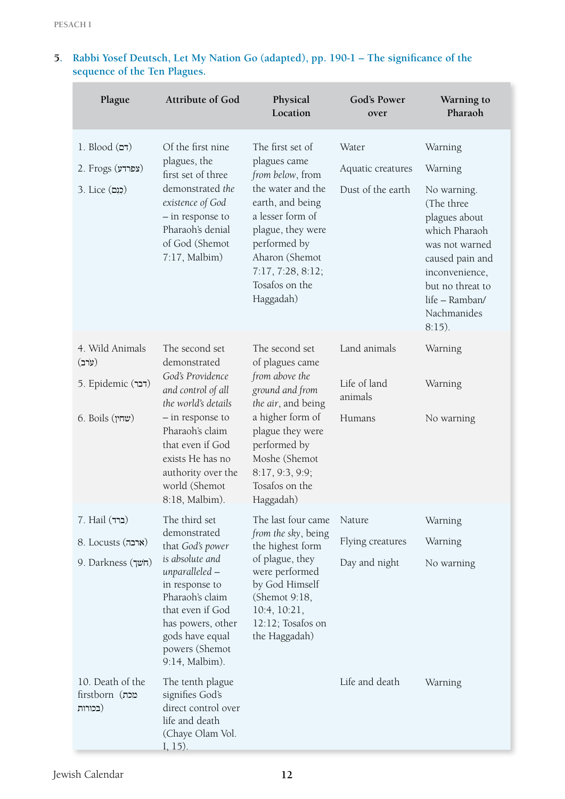| Plague                                        | <b>Attribute of God</b>                                                                                                                                                                               | Physical<br>Location                                                                                                                                                                                                         | God's Power<br>over     | Warning to<br>Pharaoh                                                                                                                                                                |
|-----------------------------------------------|-------------------------------------------------------------------------------------------------------------------------------------------------------------------------------------------------------|------------------------------------------------------------------------------------------------------------------------------------------------------------------------------------------------------------------------------|-------------------------|--------------------------------------------------------------------------------------------------------------------------------------------------------------------------------------|
| $1.$ Blood $(\tau)$                           | Of the first nine<br>plagues, the<br>first set of three<br>demonstrated the<br>existence of God<br>- in response to<br>Pharaoh's denial<br>of God (Shemot<br>$7:17$ , Malbim)                         | The first set of<br>plagues came<br>from below, from<br>the water and the<br>earth, and being<br>a lesser form of<br>plague, they were<br>performed by<br>Aharon (Shemot<br>7:17, 7:28, 8:12;<br>Tosafos on the<br>Haggadah) | Water                   | Warning                                                                                                                                                                              |
| 2. Frogs $(x$ פרדע)                           |                                                                                                                                                                                                       |                                                                                                                                                                                                                              | Aquatic creatures       | Warning                                                                                                                                                                              |
| 3. Lice (כְנָם)                               |                                                                                                                                                                                                       |                                                                                                                                                                                                                              | Dust of the earth       | No warning.<br>(The three<br>plagues about<br>which Pharaoh<br>was not warned<br>caused pain and<br>inconvenience,<br>but no threat to<br>life - Ramban/<br>Nachmanides<br>$8:15$ ). |
| 4. Wild Animals<br>(ערב)                      | The second set<br>demonstrated                                                                                                                                                                        | The second set<br>of plagues came                                                                                                                                                                                            | Land animals            | Warning                                                                                                                                                                              |
| 5. Epidemic (דבר)                             | God's Providence<br>and control of all<br>the world's details<br>- in response to<br>Pharaoh's claim<br>that even if God<br>exists He has no<br>authority over the<br>world (Shemot<br>8:18, Malbim). | from above the<br>ground and from<br>the air, and being<br>a higher form of<br>plague they were<br>performed by<br>Moshe (Shemot<br>8:17, 9:3, 9:9;<br>Tosafos on the<br>Haggadah)                                           | Life of land<br>animals | Warning                                                                                                                                                                              |
| $($ שחין) 6. Boils                            |                                                                                                                                                                                                       |                                                                                                                                                                                                                              | Humans                  | No warning                                                                                                                                                                           |
| $7.$ Hail (ברד)                               | The third set<br>demonstrated                                                                                                                                                                         | The last four came<br>from the sky, being                                                                                                                                                                                    | Nature                  | Warning                                                                                                                                                                              |
| 8. Locusts (ארבה)                             | that God's power<br>is absolute and<br>unparalleled -<br>in response to<br>Pharaoh's claim<br>that even if God<br>has powers, other<br>gods have equal<br>powers (Shemot<br>9:14, Malbim).            | the highest form                                                                                                                                                                                                             | Flying creatures        | Warning                                                                                                                                                                              |
| 9. Darkness (חֹשך)                            |                                                                                                                                                                                                       | of plague, they<br>were performed<br>by God Himself<br>(Shemot 9:18,<br>10:4, 10:21,<br>12:12; Tosafos on<br>the Haggadah)                                                                                                   | Day and night           | No warning                                                                                                                                                                           |
| 10. Death of the<br>מכת) firstborn<br>(בכורות | The tenth plague<br>signifies God's<br>direct control over<br>life and death<br>(Chaye Olam Vol.<br>$1, 15$ ).                                                                                        |                                                                                                                                                                                                                              | Life and death          | Warning                                                                                                                                                                              |

# **5. Rabbi Yosef Deutsch, Let My Nation Go (adapted), pp. 190-1 – The significance of the sequence of the Ten Plagues.**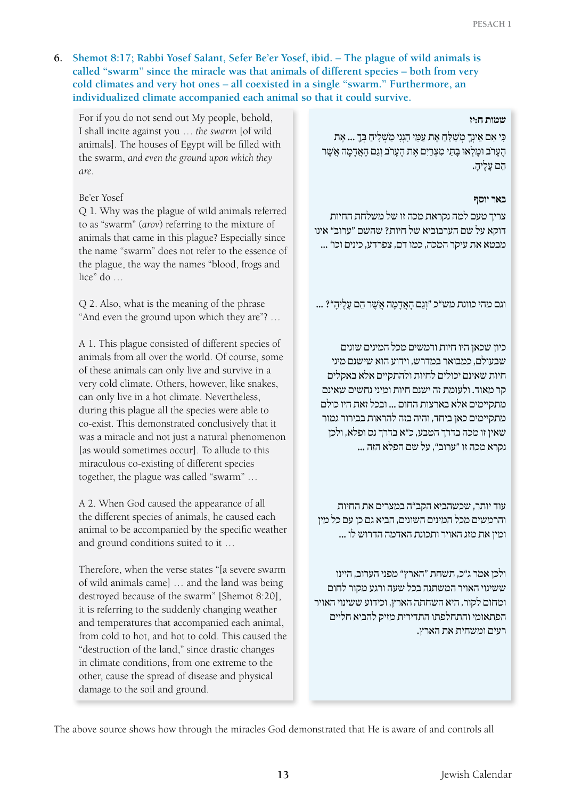# **6. Shemot 8:17; Rabbi Yosef Salant, Sefer Be'er Yosef, ibid. – The plague of wild animals is called "swarm" since the miracle was that animals of different species – both from very cold climates and very hot ones – all coexisted in a single "swarm." Furthermore, an individualized climate accompanied each animal so that it could survive.**

For if you do not send out My people, behold, I shall incite against you … *the swarm* [of wild animals]. The houses of Egypt will be filled with the swarm, *and even the ground upon which they are*.

# Be'er Yosef

Q 1*.* Why was the plague of wild animals referred to as "swarm" (*arov*) referring to the mixture of animals that came in this plague? Especially since the name "swarm" does not refer to the essence of the plague, the way the names "blood, frogs and lice" do …

Q 2. Also, what is the meaning of the phrase "And even the ground upon which they are"? …

A 1. This plague consisted of different species of animals from all over the world. Of course, some of these animals can only live and survive in a very cold climate. Others, however, like snakes, can only live in a hot climate. Nevertheless, during this plague all the species were able to co-exist. This demonstrated conclusively that it was a miracle and not just a natural phenomenon [as would sometimes occur]. To allude to this miraculous co-existing of different species together, the plague was called "swarm" …

A 2. When God caused the appearance of all the different species of animals, he caused each animal to be accompanied by the specific weather and ground conditions suited to it …

Therefore, when the verse states "[a severe swarm of wild animals came] … and the land was being destroyed because of the swarm" [Shemot 8:20], it is referring to the suddenly changing weather and temperatures that accompanied each animal, from cold to hot, and hot to cold. This caused the "destruction of the land," since drastic changes in climate conditions, from one extreme to the other, cause the spread of disease and physical damage to the soil and ground.

#### **שמות ח:יז**

כִּי אִם אֵינְךָ מִשַׁלֵּחַ אֵת עַמְי הִנְנִי מַשְׁלִיחַ בְּךָ ... אֶת הֶ עַרֹב וּמֵלְאוּ בַּתֵּי מִצְרַיִם אֶת הֶעָרֹב וְגֶם הָאֲדָמֶה אֵשֶׁר הם עליה.

#### **באר יוסף**

צריך טעם למה נקראת מכה זו של משלחת החיות דוקא על שם הערבוביא של חיות? שהשם "ערוב" אינו מבטא את עיקר המכה, כמו דם, צפרדע, כינים וכו' ...

וגם מהי כוונת מש"כ "וְ גַ ם הָ אֲ דָ מָ ה אֲ שׁ ֶ ר הֵ ם עָ לֶ יהָ "? ...

כיון שכאן היו חיות ורמשים מכל המינים שונים שבעולם, כמבואר במדרש, וידוע הוא שישנם מיני חיות שאינם יכולים לחיות ולהתקיים אלא באקלים קר מאוד. ולעומת זה ישנם חיות ומיני נחשים שאינם מתקיימים אלא בארצות החום ... ובכל זאת היו כולם מתקיימים כאן ביחד, והיה בזה להראות בבירור גמור שאין זו מכה בדרך הטבע, כ"א בדרך נס ופלא, ולכן נקרא מכה זו "ערוב", על שם הפלא הזה ...

עוד יותר, שכשהביא הקב"ה במצרים את החיות והרמשים מכל המינים השונים, הביא גם כן עם כל מין ומין את מזג האויר ותכונת האדמה הדרוש לו ...

ולכן אמר ג"כ, תשחת "הארץ" מפני הערוב, היינו ששינוי האויר המשתנה בכל שעה ורגע מקור לחום ומחום לקור, היא השחתה הארץ, וכידוע ששינוי האויר הפתאומי והתחלפתו התדירית מזיק להביא חליים רעים ומשחית את הארץ.

The above source shows how through the miracles God demonstrated that He is aware of and controls all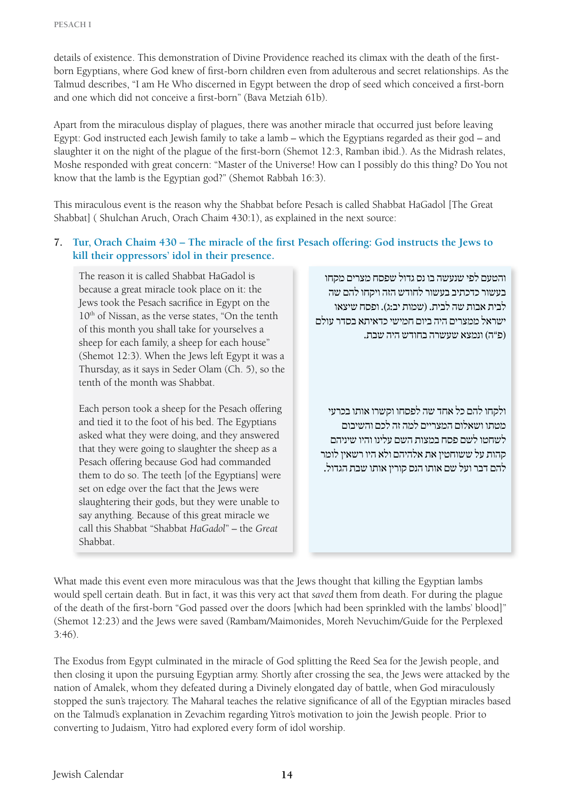details of existence. This demonstration of Divine Providence reached its climax with the death of the firstborn Egyptians, where God knew of first-born children even from adulterous and secret relationships. As the Talmud describes, "I am He Who discerned in Egypt between the drop of seed which conceived a first-born and one which did not conceive a first-born" (Bava Metziah 61b).

Apart from the miraculous display of plagues, there was another miracle that occurred just before leaving Egypt: God instructed each Jewish family to take a lamb – which the Egyptians regarded as their god – and slaughter it on the night of the plague of the first-born (Shemot 12:3, Ramban ibid.). As the Midrash relates, Moshe responded with great concern: "Master of the Universe! How can I possibly do this thing? Do You not know that the lamb is the Egyptian god?" (Shemot Rabbah 16:3).

This miraculous event is the reason why the Shabbat before Pesach is called Shabbat HaGadol [The Great Shabbat] ( Shulchan Aruch, Orach Chaim 430:1), as explained in the next source:

#### **7. Tur, Orach Chaim 430 – The miracle of the first Pesach offering: God instructs the Jews to kill their oppressors' idol in their presence.**

The reason it is called Shabbat HaGadol is because a great miracle took place on it: the Jews took the Pesach sacrifice in Egypt on the 10<sup>th</sup> of Nissan, as the verse states, "On the tenth of this month you shall take for yourselves a sheep for each family, a sheep for each house" (Shemot 12:3). When the Jews left Egypt it was a Thursday, as it says in Seder Olam (Ch. 5), so the tenth of the month was Shabbat.

Each person took a sheep for the Pesach offering and tied it to the foot of his bed. The Egyptians asked what they were doing, and they answered that they were going to slaughter the sheep as a Pesach offering because God had commanded them to do so. The teeth [of the Egyptians] were set on edge over the fact that the Jews were slaughtering their gods, but they were unable to say anything. Because of this great miracle we call this Shabbat "Shabbat *HaGadol*" – the *Great* Shabbat.

והטעם לפי שנעשה בו נס גדול שפסח מצרים מקחו בעשור כדכתיב בעשור לחודש הזה ויקחו להם שה לבית אבות שה לבית. )שמות יב:ג(. ופסח שיצאו ישראל ממצרים היה ביום חמישי כדאיתא בסדר עולם )פ"ה( ונמצא שעשרה בחודש היה שבת.

ולקחו להם כל אחד שה לפסחו וקשרו אותו בכרעי מטתו ושאלום המצריים למה זה לכם והשיבום לשחטו לשם פסח במצות השם עלינו והיו שיניהם קהות על ששוחטין את אלהיהם ולא היו רשאין לומר להם דבר ועל שם אותו הנס קורין אותו שבת הגדול.

What made this event even more miraculous was that the Jews thought that killing the Egyptian lambs would spell certain death. But in fact, it was this very act that *saved* them from death. For during the plague of the death of the first-born "God passed over the doors [which had been sprinkled with the lambs' blood]" (Shemot 12:23) and the Jews were saved (Rambam/Maimonides, Moreh Nevuchim/Guide for the Perplexed 3:46).

The Exodus from Egypt culminated in the miracle of God splitting the Reed Sea for the Jewish people, and then closing it upon the pursuing Egyptian army. Shortly after crossing the sea, the Jews were attacked by the nation of Amalek, whom they defeated during a Divinely elongated day of battle, when God miraculously stopped the sun's trajectory. The Maharal teaches the relative significance of all of the Egyptian miracles based on the Talmud's explanation in Zevachim regarding Yitro's motivation to join the Jewish people. Prior to converting to Judaism, Yitro had explored every form of idol worship.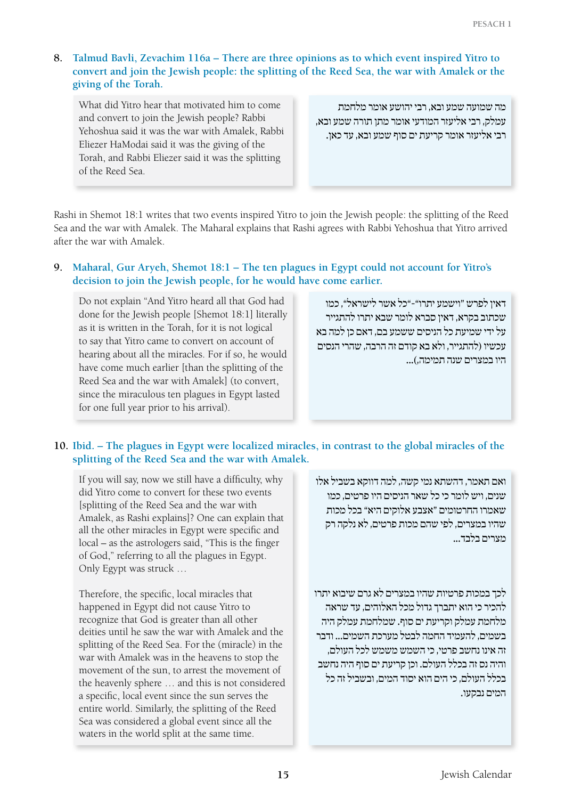# **8. Talmud Bavli, Zevachim 116a – There are three opinions as to which event inspired Yitro to convert and join the Jewish people: the splitting of the Reed Sea, the war with Amalek or the giving of the Torah.**

What did Yitro hear that motivated him to come and convert to join the Jewish people? Rabbi Yehoshua said it was the war with Amalek, Rabbi Eliezer HaModai said it was the giving of the Torah, and Rabbi Eliezer said it was the splitting of the Reed Sea.

מה שמועה שמע ובא, רבי יהושע אומר מלחמת עמלק, רבי אליעזר המודעי אומר מתן תורה שמע ובא, רבי אליעזר אומר קריעת ים סוף שמע ובא, עד כאן.

Rashi in Shemot 18:1 writes that two events inspired Yitro to join the Jewish people: the splitting of the Reed Sea and the war with Amalek. The Maharal explains that Rashi agrees with Rabbi Yehoshua that Yitro arrived after the war with Amalek.

# **9. Maharal, Gur Aryeh, Shemot 18:1 – The ten plagues in Egypt could not account for Yitro's decision to join the Jewish people, for he would have come earlier.**

Do not explain "And Yitro heard all that God had done for the Jewish people [Shemot 18:1] literally as it is written in the Torah, for it is not logical to say that Yitro came to convert on account of hearing about all the miracles. For if so, he would have come much earlier [than the splitting of the Reed Sea and the war with Amalek] (to convert, since the miraculous ten plagues in Egypt lasted for one full year prior to his arrival).

דאין לפרש "וישמע יתרו"-"כל אשר לישראל", כמו שכתוב בקרא, דאין סברא לומר שבא יתרו להתגייר על ידי שמיעת כל הניסים ששמע בם, דאם כן למה בא עכשיו )להתגייר, ולא בא קודם זה הרבה, שהרי הנסים היו במצרים שנה תמימה,(...

# **10. Ibid. – The plagues in Egypt were localized miracles, in contrast to the global miracles of the splitting of the Reed Sea and the war with Amalek.**

If you will say, now we still have a difficulty, why did Yitro come to convert for these two events [splitting of the Reed Sea and the war with Amalek, as Rashi explains]? One can explain that all the other miracles in Egypt were specific and local – as the astrologers said, "This is the finger of God," referring to all the plagues in Egypt. Only Egypt was struck …

Therefore, the specific, local miracles that happened in Egypt did not cause Yitro to recognize that God is greater than all other deities until he saw the war with Amalek and the splitting of the Reed Sea. For the (miracle) in the war with Amalek was in the heavens to stop the movement of the sun, to arrest the movement of the heavenly sphere … and this is not considered a specific, local event since the sun serves the entire world. Similarly, the splitting of the Reed Sea was considered a global event since all the waters in the world split at the same time.

ואם תאמר, דהשתא נמי קשה, למה דווקא בשביל אלו שנים, ויש לומר כי כל שאר הניסים היו פרטים, כמו שאמרו החרטומים "אצבע אלוקים היא" בכל מכות שהיו במצרים, לפי שהם מכות פרטים, לא נלקה רק מצרים בלבד...

לכך במכות פרטיות שהיו במצרים לא גרם שיבוא יתרו להכיר כי הוא יתברך גדול מכל האלוהים, עד שראה מלחמת עמלק וקריעת ים סוף. שמלחמת עמלק היה בשמים, להעמיד החמה לבטל מערכת השמים... ודבר זה אינו נחשב פרטי, כי השמש משמש לכל העולם, והיה נס זה בכלל העולם. וכן קריעת ים סוף היה נחשב בכלל העולם, כי הים הוא יסוד המים, ובשביל זה כל המים נבקעו.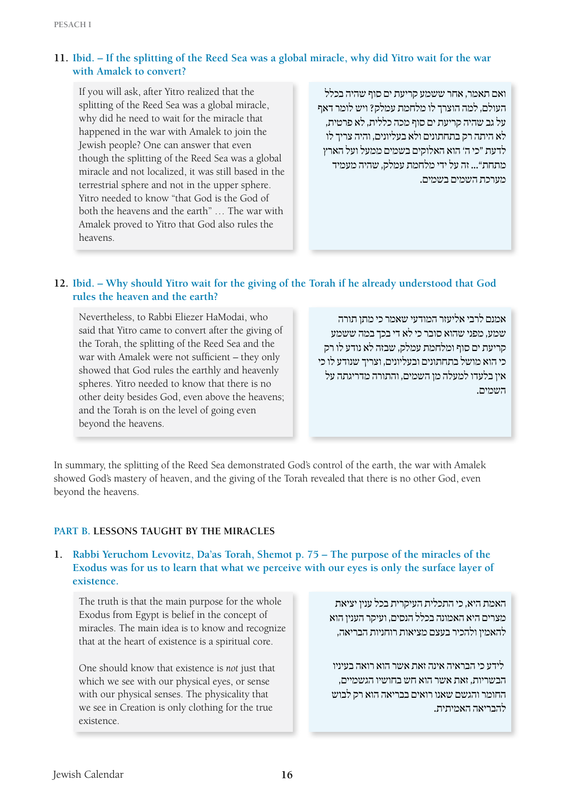# **11. Ibid. – If the splitting of the Reed Sea was a global miracle, why did Yitro wait for the war with Amalek to convert?**

If you will ask, after Yitro realized that the splitting of the Reed Sea was a global miracle, why did he need to wait for the miracle that happened in the war with Amalek to join the Jewish people? One can answer that even though the splitting of the Reed Sea was a global miracle and not localized, it was still based in the terrestrial sphere and not in the upper sphere. Yitro needed to know "that God is the God of both the heavens and the earth" … The war with Amalek proved to Yitro that God also rules the heavens.

ואם תאמר, אחר ששמע קריעת ים סוף שהיה בכלל העולם, למה הוצרך לו מלחמת עמלק? ויש לומר דאף על גב שהיה קריעת ים סוף מכה כללית, לא פרטית, לא היתה רק בתחתונים ולא בעליונים, והיה צריך לו לדעת "כי ה' הוא האלוקים בשמים ממעל ועל הארץ מתחת"... זה על ידי מלחמת עמלק, שהיה מעמיד מערכת השמים בשמים.

# **12. Ibid. – Why should Yitro wait for the giving of the Torah if he already understood that God rules the heaven and the earth?**

Nevertheless, to Rabbi Eliezer HaModai, who said that Yitro came to convert after the giving of the Torah, the splitting of the Reed Sea and the war with Amalek were not sufficient – they only showed that God rules the earthly and heavenly spheres. Yitro needed to know that there is no other deity besides God, even above the heavens; and the Torah is on the level of going even beyond the heavens.

אמנם לרבי אליעזר המודעי שאמר כי מתן תורה שמע, מפני שהוא סובר כי לא די בכך במה ששמע קריעת ים סוף ומלחמת עמלק, שבזה לא נודע לו רק כי הוא מושל בתחתונים ובעליונים, וצריך שנודע לו כי אין בלעדו למעלה מן השמים, והתורה מדריגתה על השמים.

In summary, the splitting of the Reed Sea demonstrated God's control of the earth, the war with Amalek showed God's mastery of heaven, and the giving of the Torah revealed that there is no other God, even beyond the heavens.

# **Part B. Lessons Taught by the Miracles**

#### **1. Rabbi Yeruchom Levovitz, Da'as Torah, Shemot p. 75 – The purpose of the miracles of the Exodus was for us to learn that what we perceive with our eyes is only the surface layer of existence.**

The truth is that the main purpose for the whole Exodus from Egypt is belief in the concept of miracles. The main idea is to know and recognize that at the heart of existence is a spiritual core.

One should know that existence is *not* just that which we see with our physical eyes, or sense with our physical senses. The physicality that we see in Creation is only clothing for the true existence.

האמת היא, כי התכלית העיקרית בכל ענין יציאת מצרים היא האמונה בכלל הנסים, ועיקר הענין הוא להאמין ולהכיר בעצם מציאות רוחניות הבריאה,

 לידע כי הבראיה אינה זאת אשר הוא רואה בעיניו הבשריות, זאת אשר הוא חש בחושיו הגשמיים, החומר והגשם שאנו רואים בבריאה הוא רק לבוש להבריאה האמיתית.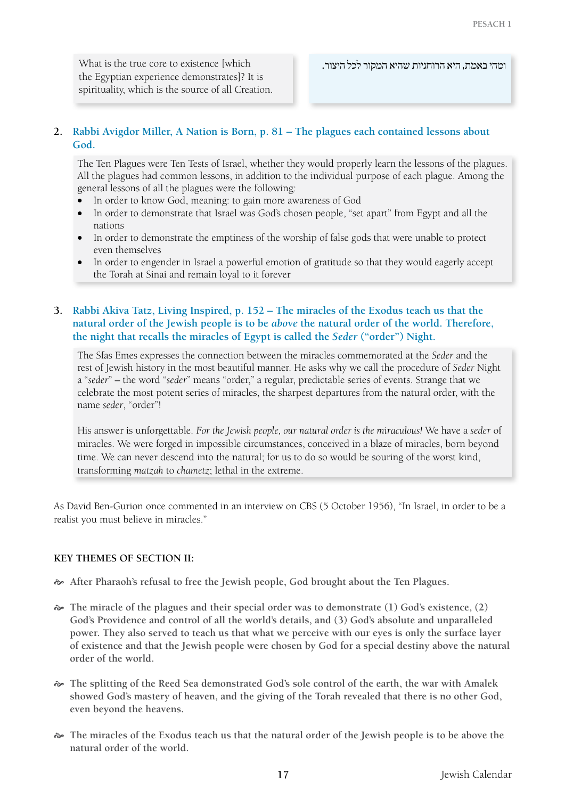What is the true core to existence [which the Egyptian experience demonstrates]? It is spirituality, which is the source of all Creation.

ומהי באמת, היא הרוחניות שהיא המקור לכל היצור.

# **2. Rabbi Avigdor Miller, A Nation is Born, p. 81 – The plagues each contained lessons about God.**

The Ten Plagues were Ten Tests of Israel, whether they would properly learn the lessons of the plagues. All the plagues had common lessons, in addition to the individual purpose of each plague. Among the general lessons of all the plagues were the following:

- In order to know God, meaning: to gain more awareness of God
- In order to demonstrate that Israel was God's chosen people, "set apart" from Egypt and all the nations
- In order to demonstrate the emptiness of the worship of false gods that were unable to protect even themselves
- In order to engender in Israel a powerful emotion of gratitude so that they would eagerly accept the Torah at Sinai and remain loyal to it forever

#### **3. Rabbi Akiva Tatz, Living Inspired, p. 152 – The miracles of the Exodus teach us that the natural order of the Jewish people is to be** *above* **the natural order of the world. Therefore, the night that recalls the miracles of Egypt is called the** *Seder* **("order") Night.**

The Sfas Emes expresses the connection between the miracles commemorated at the *Seder* and the rest of Jewish history in the most beautiful manner. He asks why we call the procedure of *Seder* Night a "*seder*" – the word "*seder*" means "order," a regular, predictable series of events. Strange that we celebrate the most potent series of miracles, the sharpest departures from the natural order, with the name *seder*, "order"!

His answer is unforgettable. *For the Jewish people, our natural order is the miraculous!* We have a *seder* of miracles. We were forged in impossible circumstances, conceived in a blaze of miracles, born beyond time. We can never descend into the natural; for us to do so would be souring of the worst kind, transforming *matzah* to *chametz*; lethal in the extreme.

As David Ben-Gurion once commented in an interview on CBS (5 October 1956), "In Israel, in order to be a realist you must believe in miracles."

#### **Key Themes of Section II:**

- [ **After Pharaoh's refusal to free the Jewish people, God brought about the Ten Plagues.**
- [ **The miracle of the plagues and their special order was to demonstrate (1) God's existence, (2) God's Providence and control of all the world's details, and (3) God's absolute and unparalleled power. They also served to teach us that what we perceive with our eyes is only the surface layer of existence and that the Jewish people were chosen by God for a special destiny above the natural order of the world.**
- [ **The splitting of the Reed Sea demonstrated God's sole control of the earth, the war with Amalek showed God's mastery of heaven, and the giving of the Torah revealed that there is no other God, even beyond the heavens.**
- [ **The miracles of the Exodus teach us that the natural order of the Jewish people is to be above the natural order of the world.**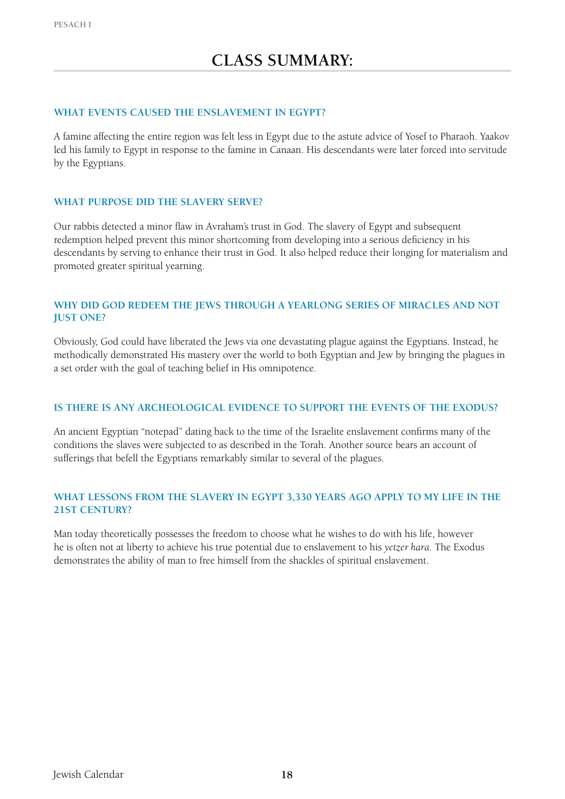#### WHAT EVENTS CAUSED THE ENSLAVEMENT IN EGYPT?

A famine affecting the entire region was felt less in Egypt due to the astute advice of Yosef to Pharaoh. Yaakov led his family to Egypt in response to the famine in Canaan. His descendants were later forced into servitude by the Egyptians.

## **What purpose did the slavery serve?**

Our rabbis detected a minor flaw in Avraham's trust in God. The slavery of Egypt and subsequent redemption helped prevent this minor shortcoming from developing into a serious deficiency in his descendants by serving to enhance their trust in God. It also helped reduce their longing for materialism and promoted greater spiritual yearning.

#### **Why did God redeem the Jews through a yearlong series of miracles and not just one?**

Obviously, God could have liberated the Jews via one devastating plague against the Egyptians. Instead, he methodically demonstrated His mastery over the world to both Egyptian and Jew by bringing the plagues in a set order with the goal of teaching belief in His omnipotence.

#### **Is there is any archeological evidence to support the events of the Exodus?**

An ancient Egyptian "notepad" dating back to the time of the Israelite enslavement confirms many of the conditions the slaves were subjected to as described in the Torah. Another source bears an account of sufferings that befell the Egyptians remarkably similar to several of the plagues.

## **What lessons from the slavery in Egypt 3,330 years ago apply to my life in the 21st century?**

Man today theoretically possesses the freedom to choose what he wishes to do with his life, however he is often not at liberty to achieve his true potential due to enslavement to his *yetzer hara*. The Exodus demonstrates the ability of man to free himself from the shackles of spiritual enslavement.